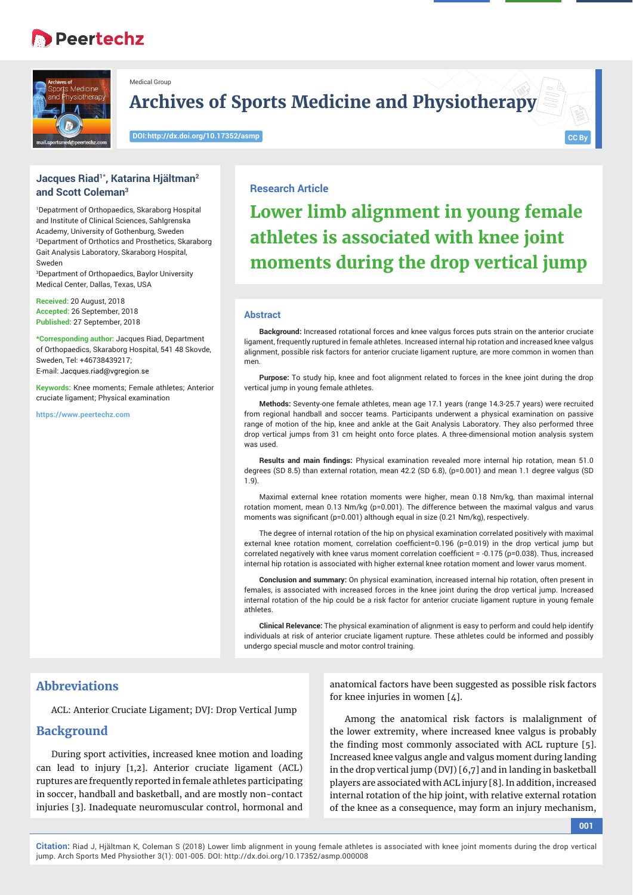# **Peertechz**



Medical Group

**Archives of Sports Medicine and Physiotherapy**

**DOI: http://dx.doi.org/10.17352/asmp**

**Jacques Riad1\*, Katarina Hjältman2 and Scott Coleman3**

1 Depatrment of Orthopaedics, Skaraborg Hospital and Institute of Clinical Sciences, Sahlgrenska Academy, University of Gothenburg, Sweden 2 Department of Orthotics and Prosthetics, Skaraborg Gait Analysis Laboratory, Skaraborg Hospital, Sweden

3 Department of Orthopaedics, Baylor University Medical Center, Dallas, Texas, USA

**Received:** 20 August, 2018 **Accepted:** 26 September, 2018 **Published:** 27 September, 2018

**\*Corresponding author:** Jacques Riad, Department of Orthopaedics, Skaraborg Hospital, 541 48 Skovde, Sweden, Tel: +46738439217; E-mail: Jacques.riad@vgregion.se

**Keywords:** Knee moments; Female athletes; Anterior cruciate ligament; Physical examination

**https://www.peertechz.com**

#### **Research Article**

**Lower limb alignment in young female athletes is associated with knee joint moments during the drop vertical jump**

#### **Abstract**

**Background:** Increased rotational forces and knee valgus forces puts strain on the anterior cruciate ligament, frequently ruptured in female athletes. Increased internal hip rotation and increased knee valgus alignment, possible risk factors for anterior cruciate ligament rupture, are more common in women than men.

**Purpose:** To study hip, knee and foot alignment related to forces in the knee joint during the drop vertical jump in young female athletes.

**Methods:** Seventy-one female athletes, mean age 17.1 years (range 14.3-25.7 years) were recruited from regional handball and soccer teams. Participants underwent a physical examination on passive range of motion of the hip, knee and ankle at the Gait Analysis Laboratory. They also performed three drop vertical jumps from 31 cm height onto force plates. A three-dimensional motion analysis system was used.

**Results and main findings:** Physical examination revealed more internal hip rotation, mean 51.0 degrees (SD 8.5) than external rotation, mean 42.2 (SD 6.8), (p=0.001) and mean 1.1 degree valgus (SD 1.9).

Maximal external knee rotation moments were higher, mean 0.18 Nm/kg, than maximal internal rotation moment, mean 0.13 Nm/kg (p=0.001). The difference between the maximal valgus and varus moments was significant ( $p=0.001$ ) although equal in size (0.21 Nm/kg), respectively.

The degree of internal rotation of the hip on physical examination correlated positively with maximal external knee rotation moment, correlation coefficient=0.196 ( $p=0.019$ ) in the drop vertical jump but correlated negatively with knee varus moment correlation coefficient = -0.175 (p=0.038). Thus, increased internal hip rotation is associated with higher external knee rotation moment and lower varus moment.

**Conclusion and summary:** On physical examination, increased internal hip rotation, often present in females, is associated with increased forces in the knee joint during the drop vertical jump. Increased internal rotation of the hip could be a risk factor for anterior cruciate ligament rupture in young female athletes.

**Clinical Relevance:** The physical examination of alignment is easy to perform and could help identify individuals at risk of anterior cruciate ligament rupture. These athletes could be informed and possibly undergo special muscle and motor control training.

# **Abbreviations**

ACL: Anterior Cruciate Ligament; DVJ: Drop Vertical Jump

## **Background**

During sport activities, increased knee motion and loading can lead to injury [1,2]. Anterior cruciate ligament (ACL) ruptures are frequently reported in female athletes participating in soccer, handball and basketball, and are mostly non-contact injuries [3]. Inadequate neuromuscular control, hormonal and

anatomical factors have been suggested as possible risk factors for knee injuries in women [4].

Among the anatomical risk factors is malalignment of the lower extremity, where increased knee valgus is probably the finding most commonly associated with ACL rupture [5]. Increased knee valgus angle and valgus moment during landing in the drop vertical jump (DVJ) [6,7] and in landing in basketball players are associated with ACL injury [8]. In addition, increased internal rotation of the hip joint, with relative external rotation of the knee as a consequence, may form an injury mechanism,

**001**

**CC By**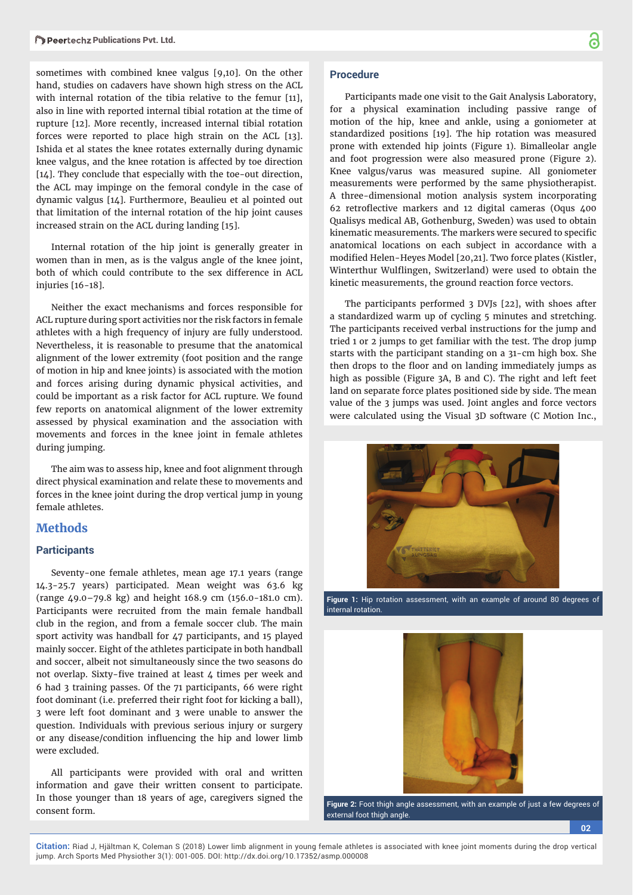sometimes with combined knee valgus [9,10]. On the other hand, studies on cadavers have shown high stress on the ACL with internal rotation of the tibia relative to the femur [11], also in line with reported internal tibial rotation at the time of rupture [12]. More recently, increased internal tibial rotation forces were reported to place high strain on the ACL [13]. Ishida et al states the knee rotates externally during dynamic knee valgus, and the knee rotation is affected by toe direction [14]. They conclude that especially with the toe-out direction, the ACL may impinge on the femoral condyle in the case of dynamic valgus [14]. Furthermore, Beaulieu et al pointed out that limitation of the internal rotation of the hip joint causes increased strain on the ACL during landing [15].

Internal rotation of the hip joint is generally greater in women than in men, as is the valgus angle of the knee joint, both of which could contribute to the sex difference in ACL injuries [16-18].

Neither the exact mechanisms and forces responsible for ACL rupture during sport activities nor the risk factors in female athletes with a high frequency of injury are fully understood. Nevertheless, it is reasonable to presume that the anatomical alignment of the lower extremity (foot position and the range of motion in hip and knee joints) is associated with the motion and forces arising during dynamic physical activities, and could be important as a risk factor for ACL rupture. We found few reports on anatomical alignment of the lower extremity assessed by physical examination and the association with movements and forces in the knee joint in female athletes during jumping.

The aim was to assess hip, knee and foot alignment through direct physical examination and relate these to movements and forces in the knee joint during the drop vertical jump in young female athletes.

### **Methods**

#### **Participants**

Seventy-one female athletes, mean age 17.1 years (range 14.3-25.7 years) participated. Mean weight was 63.6 kg (range 49.0–79.8 kg) and height 168.9 cm (156.0-181.0 cm). Participants were recruited from the main female handball club in the region, and from a female soccer club. The main sport activity was handball for 47 participants, and 15 played mainly soccer. Eight of the athletes participate in both handball and soccer, albeit not simultaneously since the two seasons do not overlap. Sixty-five trained at least  $\mu$  times per week and 6 had 3 training passes. Of the 71 participants, 66 were right foot dominant (i.e. preferred their right foot for kicking a ball), 3 were left foot dominant and 3 were unable to answer the question. Individuals with previous serious injury or surgery or any disease/condition influencing the hip and lower limb were excluded.

All participants were provided with oral and written information and gave their written consent to participate. In those younger than 18 years of age, caregivers signed the consent form.

### **Procedure**

Participants made one visit to the Gait Analysis Laboratory, for a physical examination including passive range of motion of the hip, knee and ankle, using a goniometer at standardized positions [19]. The hip rotation was measured prone with extended hip joints (Figure 1). Bimalleolar angle and foot progression were also measured prone (Figure 2). Knee valgus/varus was measured supine. All goniometer measurements were performed by the same physiotherapist. A three-dimensional motion analysis system incorporating 62 retroflective markers and 12 digital cameras (Oqus 400 Qualisys medical AB, Gothenburg, Sweden) was used to obtain kinematic measurements. The markers were secured to specific anatomical locations on each subject in accordance with a modified Helen-Heyes Model [20,21]. Two force plates (Kistler, Winterthur Wulflingen, Switzerland) were used to obtain the kinetic measurements, the ground reaction force vectors.

The participants performed 3 DVJs [22], with shoes after a standardized warm up of cycling 5 minutes and stretching. The participants received verbal instructions for the jump and tried 1 or 2 jumps to get familiar with the test. The drop jump starts with the participant standing on a 31-cm high box. She then drops to the floor and on landing immediately jumps as high as possible (Figure 3A, B and C). The right and left feet land on separate force plates positioned side by side. The mean value of the 3 jumps was used. Joint angles and force vectors were calculated using the Visual 3D software (C Motion Inc.,



**Figure 1:** Hip rotation assessment, with an example of around 80 degrees of internal rotation.



**Figure 2:** Foot thigh angle assessment, with an example of just a few degrees of external foot thigh angle.

**02**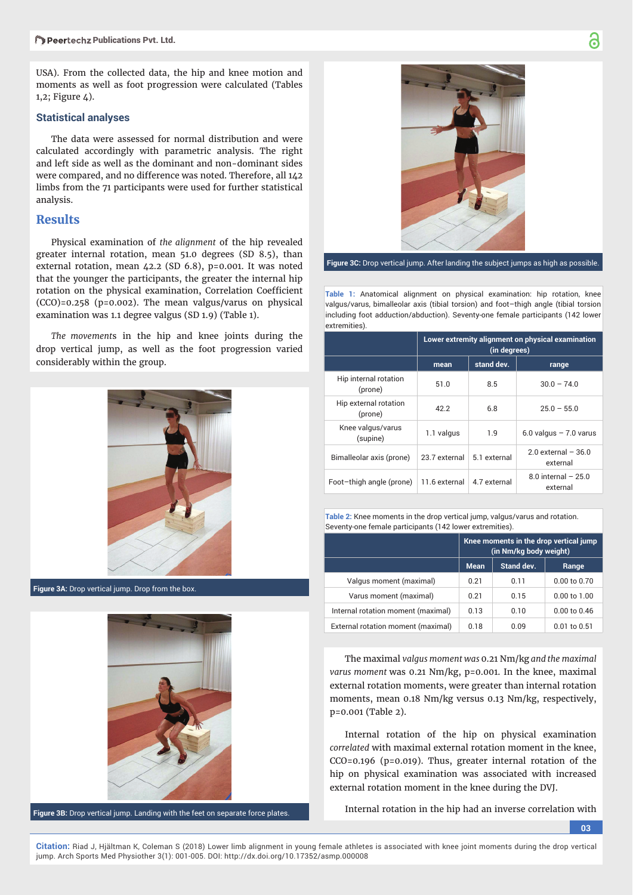USA). From the collected data, the hip and knee motion and moments as well as foot progression were calculated (Tables 1,2; Figure 4).

#### **Statistical analyses**

The data were assessed for normal distribution and were calculated accordingly with parametric analysis. The right and left side as well as the dominant and non-dominant sides were compared, and no difference was noted. Therefore, all 142 limbs from the 71 participants were used for further statistical analysis.

## **Results**

Physical examination of *the alignment* of the hip revealed greater internal rotation, mean 51.0 degrees (SD 8.5), than external rotation, mean 42.2 (SD 6.8), p=0.001. It was noted that the younger the participants, the greater the internal hip rotation on the physical examination, Correlation Coefficient (CCO)=0.258 (p=0.002). The mean valgus/varus on physical examination was 1.1 degree valgus (SD 1.9) (Table 1).

*The movement*s in the hip and knee joints during the drop vertical jump, as well as the foot progression varied considerably within the group.



**Figure 3A:** Drop vertical jump. Drop from the box.



**Figure 3B:** Drop vertical jump. Landing with the feet on separate force plates.



**Figure 3C:** Drop vertical jump. After landing the subject jumps as high as possible.

**Table 1:** Anatomical alignment on physical examination: hip rotation, knee valgus/varus, bimalleolar axis (tibial torsion) and foot–thigh angle (tibial torsion including foot adduction/abduction). Seventy-one female participants (142 lower extremities).

|                                  | Lower extremity alignment on physical examination<br>(in degrees) |              |                                    |  |
|----------------------------------|-------------------------------------------------------------------|--------------|------------------------------------|--|
|                                  | mean                                                              | stand dev.   | range                              |  |
| Hip internal rotation<br>(prone) | 51.0                                                              | 8.5          | $30.0 - 74.0$                      |  |
| Hip external rotation<br>(prone) | 42.2                                                              | 6.8          | $25.0 - 55.0$                      |  |
| Knee valgus/varus<br>(supine)    | 1.1 valgus                                                        | 1.9          | $6.0$ valgus $-7.0$ varus          |  |
| Bimalleolar axis (prone)         | 23.7 external                                                     | 5.1 external | $2.0$ external $-36.0$<br>external |  |
| Foot-thigh angle (prone)         | 11.6 external                                                     | 4.7 external | $8.0$ internal $-25.0$<br>external |  |

| <b>Table 2:</b> Knee moments in the drop vertical jump, valgus/varus and rotation. |  |
|------------------------------------------------------------------------------------|--|
| Seventy-one female participants (142 lower extremities).                           |  |

|                                    | Knee moments in the drop vertical jump<br>(in Nm/kg body weight) |            |                  |
|------------------------------------|------------------------------------------------------------------|------------|------------------|
|                                    | <b>Mean</b>                                                      | Stand dev. | Range            |
| Valgus moment (maximal)            | 0.21                                                             | 0.11       | $0.00$ to $0.70$ |
| Varus moment (maximal)             | 0.21                                                             | 0.15       | $0.00$ to $1.00$ |
| Internal rotation moment (maximal) | 0.13                                                             | 0.10       | $0.00$ to $0.46$ |
| External rotation moment (maximal) | 0.18                                                             | 0.09       | $0.01$ to $0.51$ |

The maximal *valgus moment was* 0.21 Nm/kg *and the maximal varus moment* was 0.21 Nm/kg, p=0.001. In the knee, maximal external rotation moments, were greater than internal rotation moments, mean 0.18 Nm/kg versus 0.13 Nm/kg, respectively, p=0.001 (Table 2).

Internal rotation of the hip on physical examination *correlated* with maximal external rotation moment in the knee, CCO=0.196 (p=0.019). Thus, greater internal rotation of the hip on physical examination was associated with increased external rotation moment in the knee during the DVJ.

Internal rotation in the hip had an inverse correlation with

**03**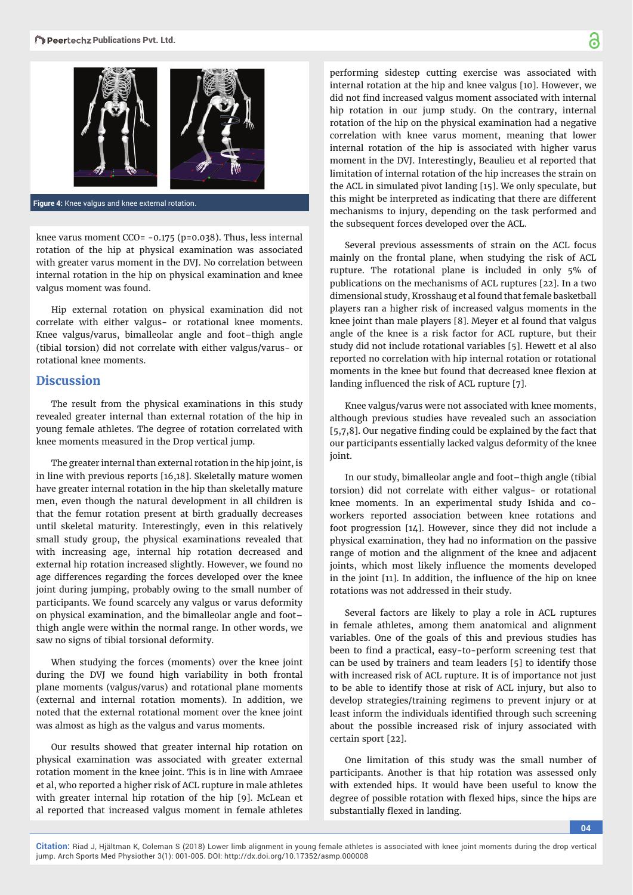

**Figure 4:** Knee valgus and knee external rotation.

knee varus moment CCO= -0.175 (p=0.038). Thus, less internal rotation of the hip at physical examination was associated with greater varus moment in the DVJ. No correlation between internal rotation in the hip on physical examination and knee valgus moment was found.

Hip external rotation on physical examination did not correlate with either valgus- or rotational knee moments. Knee valgus/varus, bimalleolar angle and foot–thigh angle (tibial torsion) did not correlate with either valgus/varus- or rotational knee moments.

# **Discussion**

The result from the physical examinations in this study revealed greater internal than external rotation of the hip in young female athletes. The degree of rotation correlated with knee moments measured in the Drop vertical jump.

The greater internal than external rotation in the hip joint, is in line with previous reports [16,18]. Skeletally mature women have greater internal rotation in the hip than skeletally mature men, even though the natural development in all children is that the femur rotation present at birth gradually decreases until skeletal maturity. Interestingly, even in this relatively small study group, the physical examinations revealed that with increasing age, internal hip rotation decreased and external hip rotation increased slightly. However, we found no age differences regarding the forces developed over the knee joint during jumping, probably owing to the small number of participants. We found scarcely any valgus or varus deformity on physical examination, and the bimalleolar angle and foot– thigh angle were within the normal range. In other words, we saw no signs of tibial torsional deformity.

When studying the forces (moments) over the knee joint during the DVJ we found high variability in both frontal plane moments (valgus/varus) and rotational plane moments (external and internal rotation moments). In addition, we noted that the external rotational moment over the knee joint was almost as high as the valgus and varus moments.

Our results showed that greater internal hip rotation on physical examination was associated with greater external rotation moment in the knee joint. This is in line with Amraee et al, who reported a higher risk of ACL rupture in male athletes with greater internal hip rotation of the hip [9]. McLean et al reported that increased valgus moment in female athletes

performing sidestep cutting exercise was associated with internal rotation at the hip and knee valgus [10]. However, we did not find increased valgus moment associated with internal hip rotation in our jump study. On the contrary, internal rotation of the hip on the physical examination had a negative correlation with knee varus moment, meaning that lower internal rotation of the hip is associated with higher varus moment in the DVJ. Interestingly, Beaulieu et al reported that limitation of internal rotation of the hip increases the strain on the ACL in simulated pivot landing [15]. We only speculate, but this might be interpreted as indicating that there are different mechanisms to injury, depending on the task performed and the subsequent forces developed over the ACL.

Several previous assessments of strain on the ACL focus mainly on the frontal plane, when studying the risk of ACL rupture. The rotational plane is included in only 5% of publications on the mechanisms of ACL ruptures [22]. In a two dimensional study, Krosshaug et al found that female basketball players ran a higher risk of increased valgus moments in the knee joint than male players [8]. Meyer et al found that valgus angle of the knee is a risk factor for ACL rupture, but their study did not include rotational variables [5]. Hewett et al also reported no correlation with hip internal rotation or rotational moments in the knee but found that decreased knee flexion at landing influenced the risk of ACL rupture [7].

Knee valgus/varus were not associated with knee moments, although previous studies have revealed such an association [5,7,8]. Our negative finding could be explained by the fact that our participants essentially lacked valgus deformity of the knee joint.

In our study, bimalleolar angle and foot–thigh angle (tibial torsion) did not correlate with either valgus- or rotational knee moments. In an experimental study Ishida and coworkers reported association between knee rotations and foot progression [14]. However, since they did not include a physical examination, they had no information on the passive range of motion and the alignment of the knee and adjacent joints, which most likely influence the moments developed in the joint [11]. In addition, the influence of the hip on knee rotations was not addressed in their study.

Several factors are likely to play a role in ACL ruptures in female athletes, among them anatomical and alignment variables. One of the goals of this and previous studies has been to find a practical, easy-to-perform screening test that can be used by trainers and team leaders [5] to identify those with increased risk of ACL rupture. It is of importance not just to be able to identify those at risk of ACL injury, but also to develop strategies/training regimens to prevent injury or at least inform the individuals identified through such screening about the possible increased risk of injury associated with certain sport [22].

One limitation of this study was the small number of participants. Another is that hip rotation was assessed only with extended hips. It would have been useful to know the degree of possible rotation with flexed hips, since the hips are substantially flexed in landing.